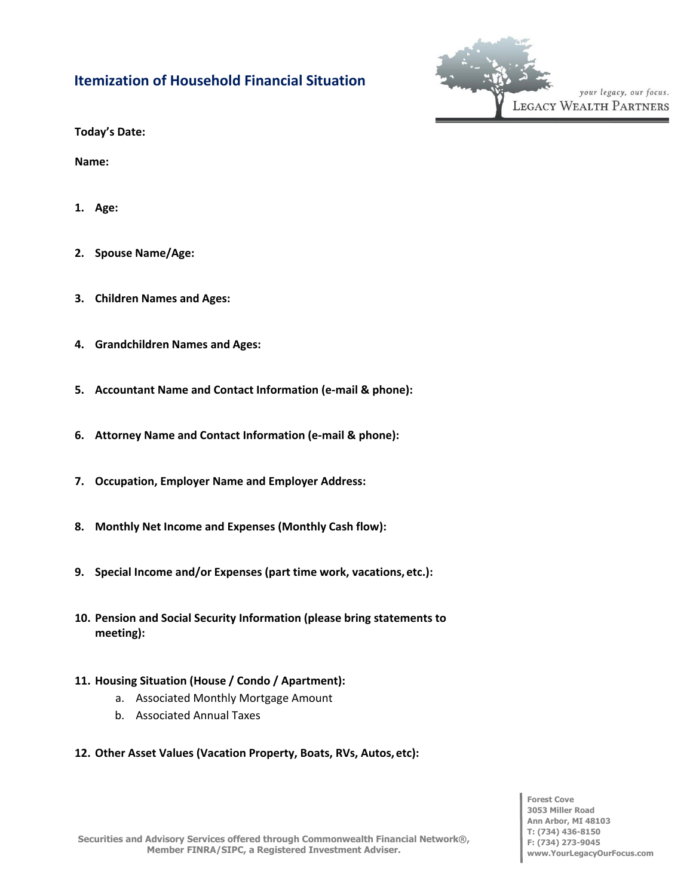## **Itemization of Household Financial Situation**



**Today's Date:**

**Name:**

- **1. Age:**
- **2. Spouse Name/Age:**
- **3. Children Names and Ages:**
- **4. Grandchildren Names and Ages:**
- **5. Accountant Name and Contact Information (e-mail & phone):**
- **6. Attorney Name and Contact Information (e-mail & phone):**
- **7. Occupation, Employer Name and Employer Address:**
- **8. Monthly Net Income and Expenses (Monthly Cash flow):**
- **9. Special Income and/or Expenses (part time work, vacations, etc.):**
- **10. Pension and Social Security Information (please bring statements to meeting):**
- **11. Housing Situation (House / Condo / Apartment):**
	- a. Associated Monthly Mortgage Amount
	- b. Associated Annual Taxes
- **12. Other Asset Values (Vacation Property, Boats, RVs, Autos, etc):**